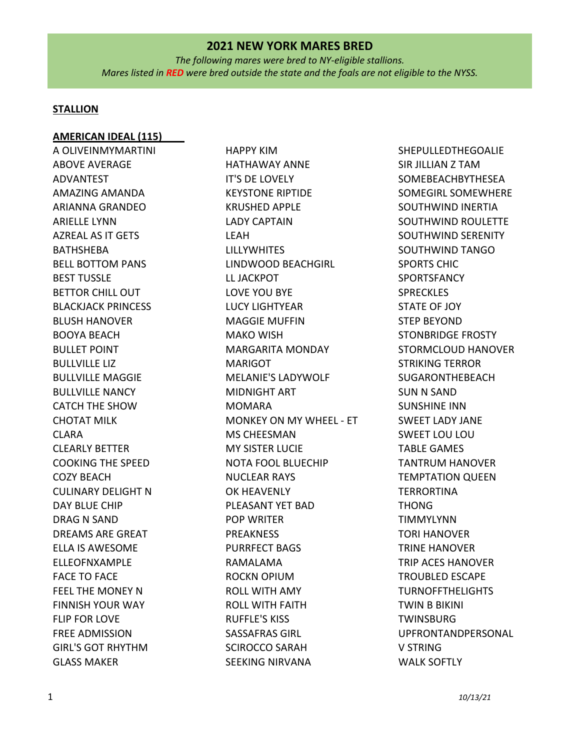*The following mares were bred to NY-eligible stallions. Mares listed in RED were bred outside the state and the foals are not eligible to the NYSS.*

#### **STALLION**

#### **AMERICAN IDEAL (115)**

A OLIVEINMYMARTINI ABOVE AVERAGE ADVANTEST AMAZING AMANDA ARIANNA GRANDEO ARIELLE LYNN AZREAL AS IT GETS BATHSHEBA BELL BOTTOM PANS BEST TUSSLE BETTOR CHILL OUT BLACKJACK PRINCESS BLUSH HANOVER BOOYA BEACH BULLET POINT BULLVILLE LIZ BULLVILLE MAGGIE BULLVILLE NANCY CATCH THE SHOW CHOTAT MILK CLARA CLEARLY BETTER COOKING THE SPEED COZY BEACH CULINARY DELIGHT N DAY BLUE CHIP DRAG N SAND DREAMS ARE GREAT ELLA IS AWESOME ELLEOFNXAMPLE FACE TO FACE FEEL THE MONEY N FINNISH YOUR WAY FLIP FOR LOVE FREE ADMISSION GIRL'S GOT RHYTHM GLASS MAKER

HAPPY KIM HATHAWAY ANNE IT'S DE LOVELY KEYSTONE RIPTIDE KRUSHED APPLE LADY CAPTAIN LEAH LILLYWHITES LINDWOOD BEACHGIRL LL JACKPOT LOVE YOU BYE LUCY LIGHTYEAR MAGGIE MUFFIN MAKO WISH MARGARITA MONDAY MARIGOT MELANIE'S LADYWOLF MIDNIGHT ART MOMARA MONKEY ON MY WHEEL - ET MS CHEESMAN MY SISTER LUCIE NOTA FOOL BLUECHIP NUCLEAR RAYS OK HEAVENLY PLEASANT YET BAD POP WRITER PREAKNESS PURRFECT BAGS RAMALAMA ROCKN OPIUM ROLL WITH AMY ROLL WITH FAITH RUFFLE'S KISS SASSAFRAS GIRL SCIROCCO SARAH SEEKING NIRVANA

SHEPULLEDTHEGOALIE SIR JILLIAN Z TAM SOMEBEACHBYTHESEA SOMEGIRL SOMEWHERE SOUTHWIND INERTIA SOUTHWIND ROULETTE SOUTHWIND SERENITY SOUTHWIND TANGO SPORTS CHIC SPORTSFANCY **SPRECKLES** STATE OF JOY STEP BEYOND STONBRIDGE FROSTY STORMCLOUD HANOVER STRIKING TERROR SUGARONTHEBEACH SUN N SAND SUNSHINE INN SWEET LADY JANE SWEET LOU LOU TABLE GAMES TANTRUM HANOVER TEMPTATION QUEEN **TERRORTINA** THONG TIMMYLYNN TORI HANOVER TRINE HANOVER TRIP ACES HANOVER TROUBLED ESCAPE TURNOFFTHELIGHTS TWIN B BIKINI **TWINSBURG** UPFRONTANDPERSONAL V STRING WALK SOFTLY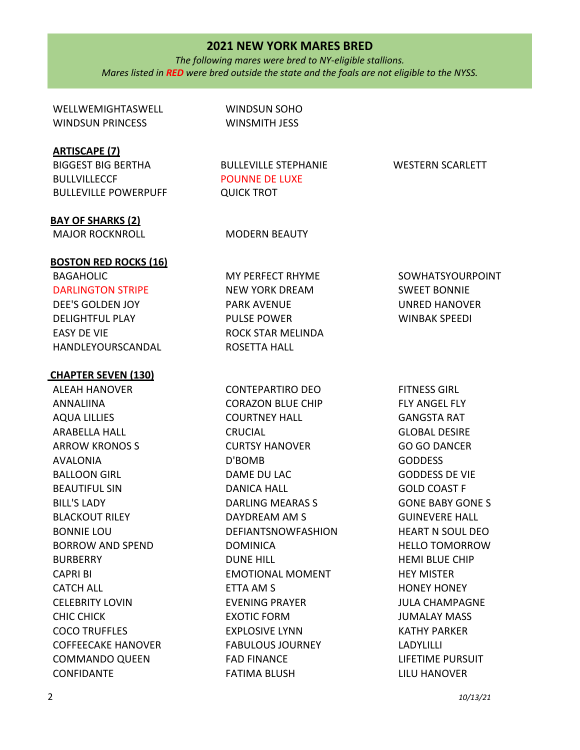*The following mares were bred to NY-eligible stallions. Mares listed in RED were bred outside the state and the foals are not eligible to the NYSS.*

WELLWEMIGHTASWELL WINDSUN PRINCESS WINDSUN SOHO WINSMITH JESS **ARTISCAPE (7)** BIGGEST BIG BERTHA BULLVILLECCF BULLEVILLE POWERPUFF BULLEVILLE STEPHANIE POUNNE DE LUXE QUICK TROT WESTERN SCARLETT **BAY OF SHARKS (2)** MAJOR ROCKNROLL MODERN BEAUTY **BOSTON RED ROCKS (16)** BAGAHOLIC DARLINGTON STRIPE DEE'S GOLDEN JOY DELIGHTFUL PLAY EASY DE VIE HANDLEYOURSCANDAL MY PERFECT RHYME NEW YORK DREAM PARK AVENUE PULSE POWER ROCK STAR MELINDA ROSETTA HALL SOWHATSYOURPOINT SWEET BONNIE UNRED HANOVER WINBAK SPEEDI **CHAPTER SEVEN (130)**  ALEAH HANOVER ANNALIINA AQUA LILLIES ARABELLA HALL ARROW KRONOS S AVALONIA BALLOON GIRL BEAUTIFUL SIN BILL'S LADY BLACKOUT RILEY BONNIE LOU BORROW AND SPEND BURBERRY CAPRI BI CONTEPARTIRO DEO CORAZON BLUE CHIP COURTNEY HALL **CRUCIAL** CURTSY HANOVER D'BOMB DAME DU LAC DANICA HALL DARLING MEARAS S DAYDREAM AM S DEFIANTSNOWFASHION DOMINICA DUNE HILL EMOTIONAL MOMENT FITNESS GIRL FLY ANGEL FLY GANGSTA RAT GLOBAL DESIRE GO GO DANCER GODDESS GODDESS DE VIE GOLD COAST F GONE BABY GONE S GUINEVERE HALL HEART N SOUL DEO HELLO TOMORROW HEMI BLUE CHIP HEY MISTER

ETTA AM S

FAD FINANCE FATIMA BLUSH

EVENING PRAYER EXOTIC FORM EXPLOSIVE LYNN FABULOUS JOURNEY HONEY HONEY JULA CHAMPAGNE JUMALAY MASS KATHY PARKER

LIFETIME PURSUIT LILU HANOVER

LADYLILLI

CATCH ALL

CHIC CHICK COCO TRUFFLES

CONFIDANTE

CELEBRITY LOVIN

COFFEECAKE HANOVER COMMANDO QUEEN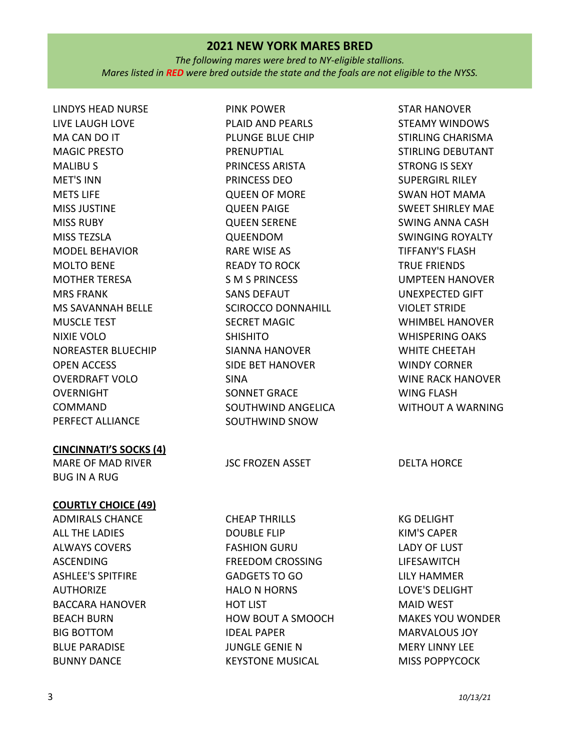*The following mares were bred to NY-eligible stallions. Mares listed in RED were bred outside the state and the foals are not eligible to the NYSS.*

PINK POWER

PRENUPTIAL PRINCESS ARISTA PRINCESS DEO QUEEN OF MORE QUEEN PAIGE QUEEN SERENE QUEENDOM RARE WISE AS READY TO ROCK S M S PRINCESS SANS DEFAUT

PLAID AND PEARLS PLUNGE BLUE CHIP

SCIROCCO DONNAHILL

SECRET MAGIC

SONNET GRACE

SOUTHWIND ANGELICA SOUTHWIND SNOW

SIANNA HANOVER SIDE BET HANOVER

SHISHITO

SINA

LINDYS HEAD NURSE LIVE LAUGH LOVE MA CAN DO IT MAGIC PRESTO MALIBU S MET'S INN METS LIFE MISS JUSTINE MISS RUBY MISS TEZSLA MODEL BEHAVIOR MOLTO BENE MOTHER TERESA MRS FRANK MS SAVANNAH BELLE MUSCLE TEST NIXIE VOLO NOREASTER BLUECHIP OPEN ACCESS OVERDRAFT VOLO **OVERNIGHT** COMMAND PERFECT ALLIANCE

#### **CINCINNATI'S SOCKS (4)**

MARE OF MAD RIVER BUG IN A RUG

#### **COURTLY CHOICE (49)**

ADMIRALS CHANCE ALL THE LADIES ALWAYS COVERS ASCENDING ASHLEE'S SPITFIRE **AUTHORIZE** BACCARA HANOVER BEACH BURN BIG BOTTOM BLUE PARADISE BUNNY DANCE

CHEAP THRILLS DOUBLE FLIP FASHION GURU FREEDOM CROSSING GADGETS TO GO HALO N HORNS HOT LIST HOW BOUT A SMOOCH IDEAL PAPER JUNGLE GENIE N KEYSTONE MUSICAL

STAR HANOVER STEAMY WINDOWS STIRLING CHARISMA STIRLING DEBUTANT STRONG IS SEXY SUPERGIRL RILEY SWAN HOT MAMA SWEET SHIRLEY MAE SWING ANNA CASH SWINGING ROYALTY TIFFANY'S FLASH TRUE FRIENDS UMPTEEN HANOVER UNEXPECTED GIFT VIOLET STRIDE WHIMBEL HANOVER WHISPERING OAKS WHITE CHEETAH WINDY CORNER WINE RACK HANOVER WING FLASH WITHOUT A WARNING

JSC FROZEN ASSET DELTA HORCE

KG DELIGHT KIM'S CAPER LADY OF LUST LIFESAWITCH LILY HAMMER LOVE'S DELIGHT MAID WEST MAKES YOU WONDER MARVALOUS JOY MERY LINNY LEE MISS POPPYCOCK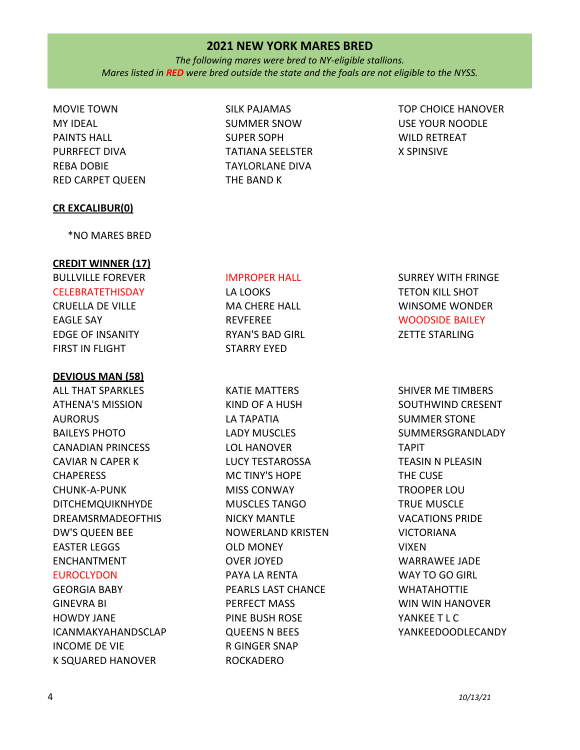*The following mares were bred to NY-eligible stallions. Mares listed in RED were bred outside the state and the foals are not eligible to the NYSS.*

MOVIE TOWN MY IDEAL PAINTS HALL PURRFECT DIVA REBA DOBIE RED CARPET QUEEN

#### **CR EXCALIBUR(0)**

\*NO MARES BRED

#### **CREDIT WINNER (17)**

# BULLVILLE FOREVER

CELEBRATETHISDAY CRUELLA DE VILLE EAGLE SAY EDGE OF INSANITY FIRST IN FLIGHT

#### **DEVIOUS MAN (58)**

ALL THAT SPARKLES ATHENA'S MISSION AURORUS BAILEYS PHOTO CANADIAN PRINCESS CAVIAR N CAPER K **CHAPERESS** CHUNK-A-PUNK DITCHEMQUIKNHYDE DREAMSRMADEOFTHIS DW'S QUEEN BEE EASTER LEGGS ENCHANTMENT EUROCLYDON GEORGIA BABY

GINEVRA BI HOWDY JANE ICANMAKYAHANDSCLAP INCOME DE VIE K SQUARED HANOVER

SILK PAJAMAS SUMMER SNOW SUPER SOPH TATIANA SEELSTER TAYLORLANE DIVA THE BAND K

TOP CHOICE HANOVER USE YOUR NOODLE WILD RETREAT X SPINSIVE

#### IMPROPER HALL

LA LOOKS MA CHERE HALL REVFEREE RYAN'S BAD GIRL STARRY EYED

KATIE MATTERS KIND OF A HUSH LA TAPATIA LADY MUSCLES LOL HANOVER LUCY TESTAROSSA MC TINY'S HOPE MISS CONWAY MUSCLES TANGO NICKY MANTLE NOWERLAND KRISTEN OLD MONEY OVER JOYED PAYA LA RENTA PEARLS LAST CHANCE PERFECT MASS PINE BUSH ROSE QUEENS N BEES R GINGER SNAP ROCKADERO

SURREY WITH FRINGE TETON KILL SHOT WINSOME WONDER WOODSIDE BAILEY ZETTE STARLING

SHIVER ME TIMBERS SOUTHWIND CRESENT SUMMER STONE SUMMERSGRANDLADY TAPIT TEASIN N PLEASIN THE CUSE TROOPER LOU TRUE MUSCLE VACATIONS PRIDE VICTORIANA VIXEN WARRAWEE JADE WAY TO GO GIRL WHATAHOTTIE WIN WIN HANOVER YANKEE T L C YANKEEDOODLECANDY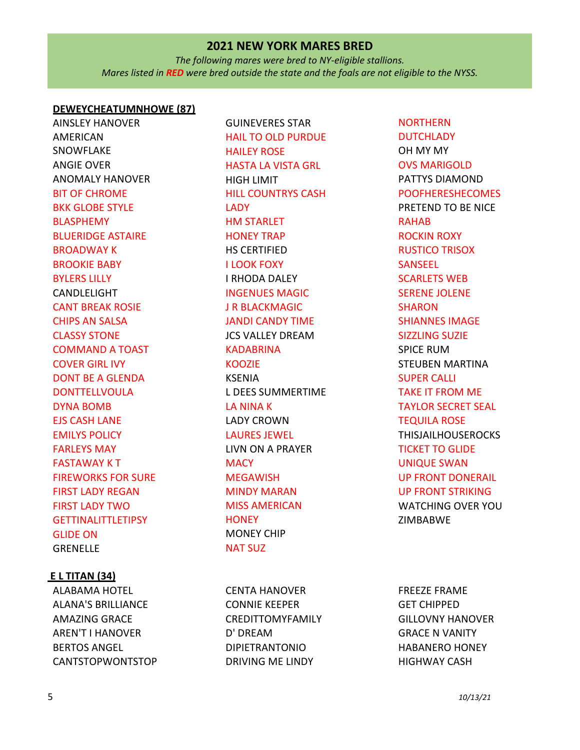*The following mares were bred to NY-eligible stallions. Mares listed in RED were bred outside the state and the foals are not eligible to the NYSS.*

#### **DEWEYCHEATUMNHOWE (87)**

AINSLEY HANOVER AMERICAN SNOWFLAKE ANGIE OVER ANOMALY HANOVER BIT OF CHROME BKK GLOBE STYLE BLASPHEMY BLUERIDGE ASTAIRE BROADWAY K BROOKIE BABY BYLERS LILLY CANDLELIGHT CANT BREAK ROSIE CHIPS AN SALSA CLASSY STONE COMMAND A TOAST COVER GIRL IVY DONT BE A GLENDA DONTTELLVOULA DYNA BOMB EJS CASH LANE EMILYS POLICY FARLEYS MAY FASTAWAY K T FIREWORKS FOR SURE FIRST LADY REGAN FIRST LADY TWO GETTINALITTLETIPSY GLIDE ON GRENELLE

#### **E L TITAN (34)**

ALABAMA HOTEL ALANA'S BRILLIANCE AMAZING GRACE AREN'T I HANOVER BERTOS ANGEL CANTSTOPWONTSTOP

GUINEVERES STAR HAIL TO OLD PURDUE HAILEY ROSE HASTA LA VISTA GRL HIGH LIMIT HILL COUNTRYS CASH **LADY** HM STARLET HONEY TRAP HS CERTIFIED I LOOK FOXY I RHODA DALEY INGENUES MAGIC J R BLACKMAGIC JANDI CANDY TIME JCS VALLEY DREAM KADABRINA KOOZIE KSENIA L DEES SUMMERTIME LA NINA K LADY CROWN LAURES JEWEL LIVN ON A PRAYER **MACY** MEGAWISH MINDY MARAN MISS AMERICAN **HONEY** MONEY CHIP NAT SUZ

CENTA HANOVER CONNIE KEEPER CREDITTOMYFAMILY D' DREAM DIPIETRANTONIO DRIVING ME LINDY

NORTHERN **DUTCHLADY** OH MY MY OVS MARIGOLD PATTYS DIAMOND POOFHERESHECOMES PRETEND TO BE NICE RAHAB ROCKIN ROXY RUSTICO TRISOX SANSEEL SCARLETS WEB SERENE JOLENE **SHARON** SHIANNES IMAGE SIZZLING SUZIE SPICE RUM STEUBEN MARTINA SUPER CALLI TAKE IT FROM ME TAYLOR SECRET SEAL TEQUILA ROSE THISJAILHOUSEROCKS TICKET TO GLIDE UNIQUE SWAN UP FRONT DONERAIL UP FRONT STRIKING WATCHING OVER YOU ZIMBABWE

FREEZE FRAME GET CHIPPED GILLOVNY HANOVER GRACE N VANITY HABANERO HONEY HIGHWAY CASH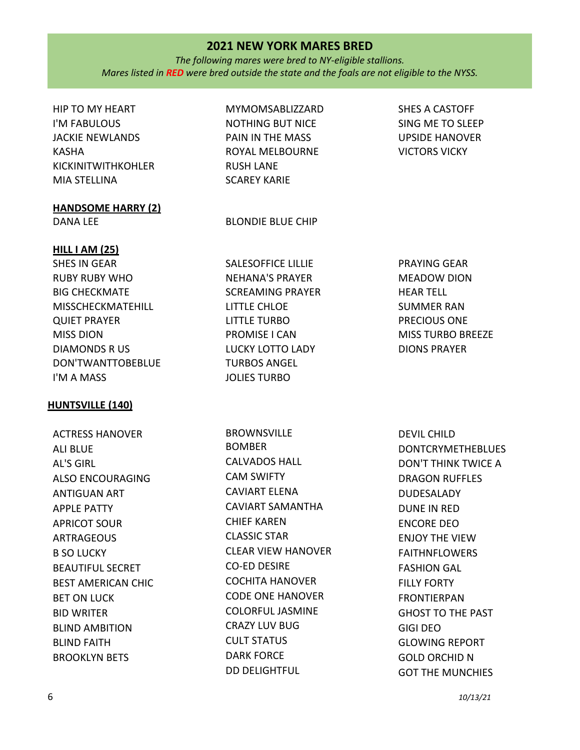*The following mares were bred to NY-eligible stallions. Mares listed in RED were bred outside the state and the foals are not eligible to the NYSS.*

# HIP TO MY HEART I'M FABULOUS JACKIE NEWLANDS KASHA KICKINITWITHKOHLER MIA STELLINA

# **HANDSOME HARRY (2)**

#### MYMOMSABLIZZARD

NOTHING BUT NICE PAIN IN THE MASS ROYAL MELBOURNE RUSH LANE SCAREY KARIE

DANA LEE BLONDIE BLUE CHIP

SHES A CASTOFF SING ME TO SLEEP UPSIDE HANOVER VICTORS VICKY

# **HILL I AM (25)**

SHES IN GEAR RUBY RUBY WHO BIG CHECKMATE MISSCHECKMATEHILL QUIET PRAYER MISS DION DIAMONDS R US DON'TWANTTOBEBLUE I'M A MASS

# **HUNTSVILLE (140)**

ACTRESS HANOVER ALI BLUE AL'S GIRL ALSO ENCOURAGING ANTIGUAN ART APPLE PATTY APRICOT SOUR ARTRAGEOUS B SO LUCKY BEAUTIFUL SECRET BEST AMERICAN CHIC BET ON LUCK BID WRITER BLIND AMBITION BLIND FAITH BROOKLYN BETS

SALESOFFICE LILLIE NEHANA'S PRAYER SCREAMING PRAYER LITTLE CHLOE LITTLE TURBO PROMISE I CAN LUCKY LOTTO LADY TURBOS ANGEL JOLIES TURBO

BROWNSVILLE BOMBER CALVADOS HALL CAM SWIFTY CAVIART ELENA CAVIART SAMANTHA CHIEF KAREN CLASSIC STAR CLEAR VIEW HANOVER CO-ED DESIRE COCHITA HANOVER CODE ONE HANOVER COLORFUL JASMINE CRAZY LUV BUG CULT STATUS DARK FORCE DD DELIGHTFUL

PRAYING GEAR MEADOW DION HEAR TELL SUMMER RAN PRECIOUS ONE MISS TURBO BREEZE DIONS PRAYER

DEVIL CHILD DONTCRYMETHEBLUES DON'T THINK TWICE A DRAGON RUFFLES DUDESALADY DUNE IN RED ENCORE DEO ENJOY THE VIEW FAITHNFLOWERS FASHION GAL FILLY FORTY FRONTIERPAN GHOST TO THE PAST GIGI DEO GLOWING REPORT GOLD ORCHID N GOT THE MUNCHIES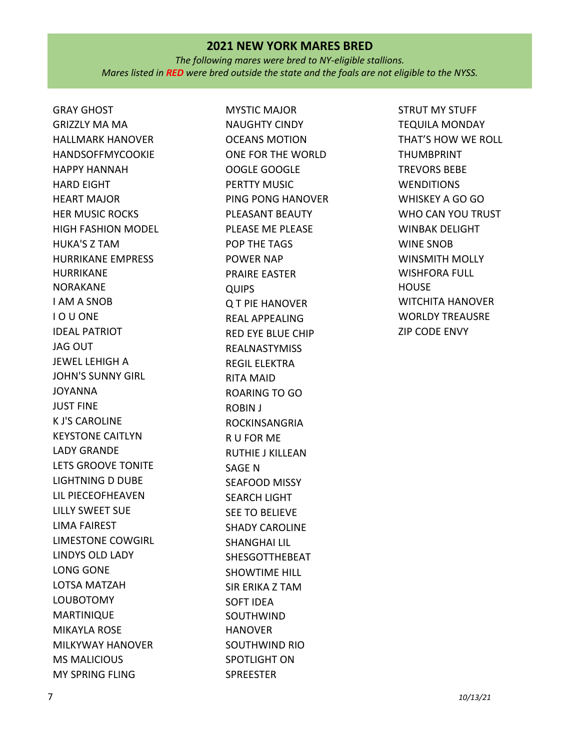*The following mares were bred to NY-eligible stallions. Mares listed in RED were bred outside the state and the foals are not eligible to the NYSS.*

GRAY GHOST GRIZZLY MA MA HALLMARK HANOVER HANDSOFFMYCOOKIE HAPPY HANNAH HARD EIGHT HEART MAJOR HER MUSIC ROCKS HIGH FASHION MODEL HUKA'S Z TAM HURRIKANE EMPRESS HURRIKANE NORAKANE I AM A SNOB I O U ONE IDEAL PATRIOT JAG OUT JEWEL LEHIGH A JOHN'S SUNNY GIRL JOYANNA JUST FINE K J'S CAROLINE KEYSTONE CAITLYN LADY GRANDE LETS GROOVE TONITE LIGHTNING D DUBE LIL PIECEOFHEAVEN LILLY SWEET SUE LIMA FAIREST LIMESTONE COWGIRL LINDYS OLD LADY LONG GONE LOTSA MATZAH LOUBOTOMY MARTINIQUE MIKAYLA ROSE MILKYWAY HANOVER MS MALICIOUS MY SPRING FLING

MYSTIC MAJOR NAUGHTY CINDY OCEANS MOTION ONE FOR THE WORLD OOGLE GOOGLE PERTTY MUSIC PING PONG HANOVER PLEASANT BEAUTY PLEASE ME PLEASE POP THE TAGS POWER NAP PRAIRE EASTER QUIPS Q T PIE HANOVER REAL APPEALING RED EYE BLUE CHIP REALNASTYMISS REGIL ELEKTRA RITA MAID ROARING TO GO ROBIN J ROCKINSANGRIA R U FOR ME RUTHIE J KILLEAN SAGE N SEAFOOD MISSY SEARCH LIGHT SEE TO BELIEVE SHADY CAROLINE SHANGHAI LIL SHESGOTTHEBEAT SHOWTIME HILL SIR ERIKA Z TAM SOFT IDEA SOUTHWIND HANOVER SOUTHWIND RIO SPOTLIGHT ON SPREESTER

STRUT MY STUFF TEQUILA MONDAY THAT'S HOW WE ROLL THUMBPRINT TREVORS BEBE **WENDITIONS** WHISKEY A GO GO WHO CAN YOU TRUST WINBAK DELIGHT WINE SNOB WINSMITH MOLLY WISHFORA FULL HOUSE WITCHITA HANOVER WORLDY TREAUSRE ZIP CODE ENVY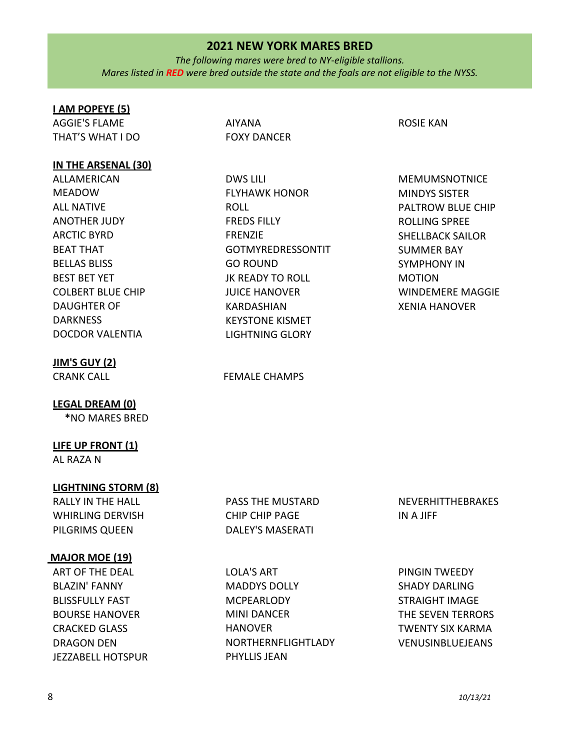*The following mares were bred to NY-eligible stallions. Mares listed in RED were bred outside the state and the foals are not eligible to the NYSS.*

#### **I AM POPEYE (5)**

AGGIE'S FLAME THAT'S WHAT I DO

#### **IN THE ARSENAL (30)**

ALLAMERICAN MEADOW ALL NATIVE ANOTHER JUDY ARCTIC BYRD BEAT THAT BELLAS BLISS BEST BET YET COLBERT BLUE CHIP DAUGHTER OF **DARKNESS** DOCDOR VALENTIA

## **JIM'S GUY (2)**

**LEGAL DREAM (0)**

**\***NO MARES BRED

# **LIFE UP FRONT (1)**

AL RAZA N

## **LIGHTNING STORM (8)**

RALLY IN THE HALL WHIRLING DERVISH PILGRIMS QUEEN

#### **MAJOR MOE (19)**

ART OF THE DEAL BLAZIN' FANNY BLISSFULLY FAST BOURSE HANOVER CRACKED GLASS DRAGON DEN JEZZABELL HOTSPUR AIYANA FOXY DANCER

DWS LILI FLYHAWK HONOR ROLL FREDS FILLY FRENZIE GOTMYREDRESSONTIT GO ROUND JK READY TO ROLL JUICE HANOVER KARDASHIAN KEYSTONE KISMET LIGHTNING GLORY

#### CRANK CALL **EXAMPS** FEMALE CHAMPS

ROSIE KAN

MEMUMSNOTNICE MINDYS SISTER PALTROW BLUE CHIP ROLLING SPREE SHELLBACK SAILOR SUMMER BAY SYMPHONY IN MOTION WINDEMERE MAGGIE XENIA HANOVER

PASS THE MUSTARD CHIP CHIP PAGE DALEY'S MASERATI

LOLA'S ART MADDYS DOLLY **MCPEARLODY** MINI DANCER HANOVER NORTHERNFLIGHTLADY PHYLLIS JEAN

NEVERHITTHEBRAKES IN A JIFF

PINGIN TWEEDY SHADY DARLING STRAIGHT IMAGE THE SEVEN TERRORS TWENTY SIX KARMA VENUSINBLUEJEANS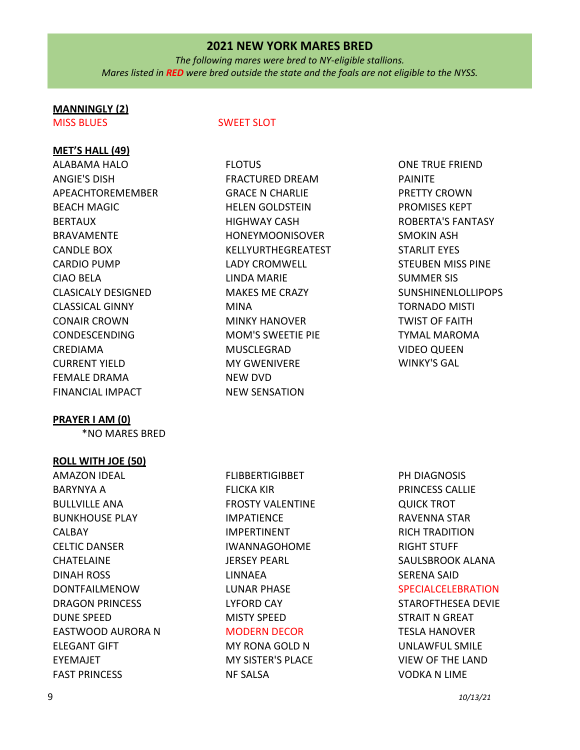*The following mares were bred to NY-eligible stallions. Mares listed in RED were bred outside the state and the foals are not eligible to the NYSS.*

# **MANNINGLY (2)**

# **MET'S HALL (49)**

ALABAMA HALO ANGIE'S DISH APEACHTOREMEMBER BEACH MAGIC BERTAUX BRAVAMENTE CANDLE BOX CARDIO PUMP CIAO BELA CLASICALY DESIGNED CLASSICAL GINNY CONAIR CROWN CONDESCENDING CREDIAMA CURRENT YIELD FEMALE DRAMA FINANCIAL IMPACT

## **PRAYER I AM (0)**

\*NO MARES BRED

## **ROLL WITH JOE (50)**

AMAZON IDEAL BARYNYA A BULLVILLE ANA BUNKHOUSE PLAY CALBAY CELTIC DANSER **CHATELAINE** DINAH ROSS DONTFAILMENOW DRAGON PRINCESS DUNE SPEED EASTWOOD AURORA N ELEGANT GIFT EYEMAJET FAST PRINCESS

# MISS BLUES SWEET SLOT

FLOTUS FRACTURED DREAM GRACE N CHARLIE HELEN GOLDSTEIN HIGHWAY CASH HONEYMOONISOVER KELLYURTHEGREATEST LADY CROMWELL LINDA MARIE MAKES ME CRAZY MINA MINKY HANOVER MOM'S SWEETIE PIE MUSCLEGRAD MY GWENIVERE NEW DVD NEW SENSATION

ONE TRUE FRIEND PAINITE PRETTY CROWN PROMISES KEPT ROBERTA'S FANTASY SMOKIN ASH STARLIT EYES STEUBEN MISS PINE SUMMER SIS SUNSHINENLOLLIPOPS TORNADO MISTI TWIST OF FAITH TYMAL MAROMA VIDEO QUEEN WINKY'S GAL

FLIBBERTIGIBBET FLICKA KIR FROSTY VALENTINE IMPATIENCE IMPERTINENT IWANNAGOHOME JERSEY PEARL LINNAEA LUNAR PHASE LYFORD CAY MISTY SPEED MODERN DECOR MY RONA GOLD N MY SISTER'S PLACE

NF SALSA

PH DIAGNOSIS PRINCESS CALLIE QUICK TROT RAVENNA STAR RICH TRADITION RIGHT STUFF SAULSBROOK ALANA SERENA SAID SPECIALCELEBRATION STAROFTHESEA DEVIE

STRAIT N GREAT TESLA HANOVER UNLAWFUL SMILE VIEW OF THE LAND VODKA N LIME